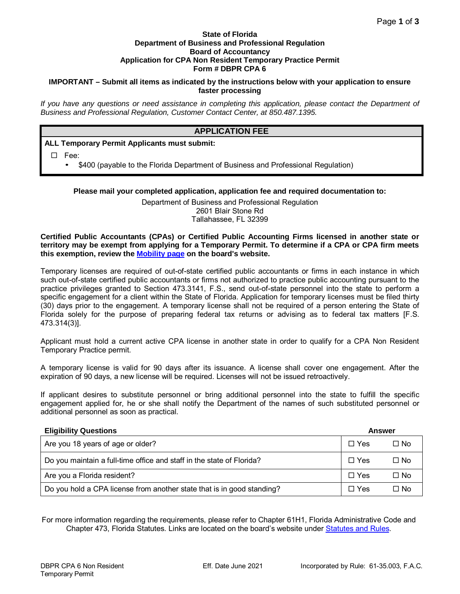#### **State of Florida Department of Business and Professional Regulation Board of Accountancy Application for CPA Non Resident Temporary Practice Permit Form # DBPR CPA 6**

### **IMPORTANT – Submit all items as indicated by the instructions below with your application to ensure faster processing**

*If you have any questions or need assistance in completing this application, please contact the Department of Business and Professional Regulation, Customer Contact Center, at 850.487.1395.* 

# **APPLICATION FEE**

## **ALL Temporary Permit Applicants must submit:**

Fee:

\$400 (payable to the Florida Department of Business and Professional Regulation)

### **Please mail your completed application, application fee and required documentation to:**

Department of Business and Professional Regulation 2601 Blair Stone Rd Tallahassee, FL 32399

#### **Certified Public Accountants (CPAs) or Certified Public Accounting Firms licensed in another state or territory may be exempt from applying for a Temporary Permit. To determine if a CPA or CPA firm meets this exemption, review the [Mobility page](http://www.myfloridalicense.com/DBPR/certified-public-accounting/mobility/) on the board's website.**

Temporary licenses are required of out-of-state certified public accountants or firms in each instance in which such out-of-state certified public accountants or firms not authorized to practice public accounting pursuant to the practice privileges granted to Section 473.3141, F.S., send out-of-state personnel into the state to perform a specific engagement for a client within the State of Florida. Application for temporary licenses must be filed thirty (30) days prior to the engagement. A temporary license shall not be required of a person entering the State of Florida solely for the purpose of preparing federal tax returns or advising as to federal tax matters [F.S. 473.314(3)].

Applicant must hold a current active CPA license in another state in order to qualify for a CPA Non Resident Temporary Practice permit.

A temporary license is valid for 90 days after its issuance. A license shall cover one engagement. After the expiration of 90 days, a new license will be required. Licenses will not be issued retroactively.

If applicant desires to substitute personnel or bring additional personnel into the state to fulfill the specific engagement applied for, he or she shall notify the Department of the names of such substituted personnel or additional personnel as soon as practical.

| <b>Eligibility Questions</b>                                           | Answer     |           |
|------------------------------------------------------------------------|------------|-----------|
| Are you 18 years of age or older?                                      | $\Box$ Yes | $\Box$ No |
| Do you maintain a full-time office and staff in the state of Florida?  | $\Box$ Yes | $\Box$ No |
| Are you a Florida resident?                                            | $\Box$ Yes | $\Box$ No |
| Do you hold a CPA license from another state that is in good standing? | $\Box$ Yes | $\Box$ No |

For more information regarding the requirements, please refer to Chapter 61H1, Florida Administrative Code and Chapter 473, Florida Statutes. Links are located on the board's website under [Statutes and Rules.](http://www.myfloridalicense.com/DBPR/certified-public-accounting/statutes-and-rules/)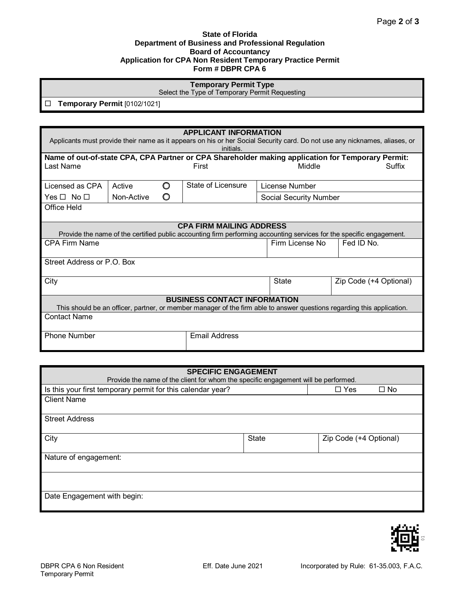#### **State of Florida Department of Business and Professional Regulation Board of Accountancy Application for CPA Non Resident Temporary Practice Permit Form # DBPR CPA 6**

# **Temporary Permit Type**

Select the Type of Temporary Permit Requesting

**Temporary Permit** [0102/1021]

| <b>APPLICANT INFORMATION</b>                                                                                                                                  |            |   |                                                                                                                      |                |                        |  |                        |
|---------------------------------------------------------------------------------------------------------------------------------------------------------------|------------|---|----------------------------------------------------------------------------------------------------------------------|----------------|------------------------|--|------------------------|
| Applicants must provide their name as it appears on his or her Social Security card. Do not use any nicknames, aliases, or<br>initials.                       |            |   |                                                                                                                      |                |                        |  |                        |
| Name of out-of-state CPA, CPA Partner or CPA Shareholder making application for Temporary Permit:<br>Middle<br>Last Name<br>Suffix<br>First                   |            |   |                                                                                                                      |                |                        |  |                        |
|                                                                                                                                                               |            |   |                                                                                                                      |                |                        |  |                        |
| Licensed as CPA                                                                                                                                               | Active     | O | State of Licensure                                                                                                   | License Number |                        |  |                        |
| Yes $\Box$ No $\Box$                                                                                                                                          | Non-Active | O |                                                                                                                      |                | Social Security Number |  |                        |
| Office Held                                                                                                                                                   |            |   |                                                                                                                      |                |                        |  |                        |
|                                                                                                                                                               |            |   | <b>CPA FIRM MAILING ADDRESS</b>                                                                                      |                |                        |  |                        |
|                                                                                                                                                               |            |   | Provide the name of the certified public accounting firm performing accounting services for the specific engagement. |                |                        |  |                        |
| <b>CPA Firm Name</b>                                                                                                                                          |            |   |                                                                                                                      |                | Firm License No        |  | Fed ID No.             |
| Street Address or P.O. Box                                                                                                                                    |            |   |                                                                                                                      |                |                        |  |                        |
| City                                                                                                                                                          |            |   |                                                                                                                      |                | <b>State</b>           |  | Zip Code (+4 Optional) |
| <b>BUSINESS CONTACT INFORMATION</b><br>This should be an officer, partner, or member manager of the firm able to answer questions regarding this application. |            |   |                                                                                                                      |                |                        |  |                        |
| <b>Contact Name</b>                                                                                                                                           |            |   |                                                                                                                      |                |                        |  |                        |
| <b>Phone Number</b>                                                                                                                                           |            |   | <b>Email Address</b>                                                                                                 |                |                        |  |                        |

| <b>SPECIFIC ENGAGEMENT</b>                                                         |       |                         |  |
|------------------------------------------------------------------------------------|-------|-------------------------|--|
| Provide the name of the client for whom the specific engagement will be performed. |       |                         |  |
| Is this your first temporary permit for this calendar year?                        |       | $\Box$ No<br>$\Box$ Yes |  |
| <b>Client Name</b>                                                                 |       |                         |  |
|                                                                                    |       |                         |  |
| <b>Street Address</b>                                                              |       |                         |  |
|                                                                                    |       |                         |  |
| City                                                                               | State | Zip Code (+4 Optional)  |  |
|                                                                                    |       |                         |  |
| Nature of engagement:                                                              |       |                         |  |
|                                                                                    |       |                         |  |
|                                                                                    |       |                         |  |
|                                                                                    |       |                         |  |
| Date Engagement with begin:                                                        |       |                         |  |
|                                                                                    |       |                         |  |